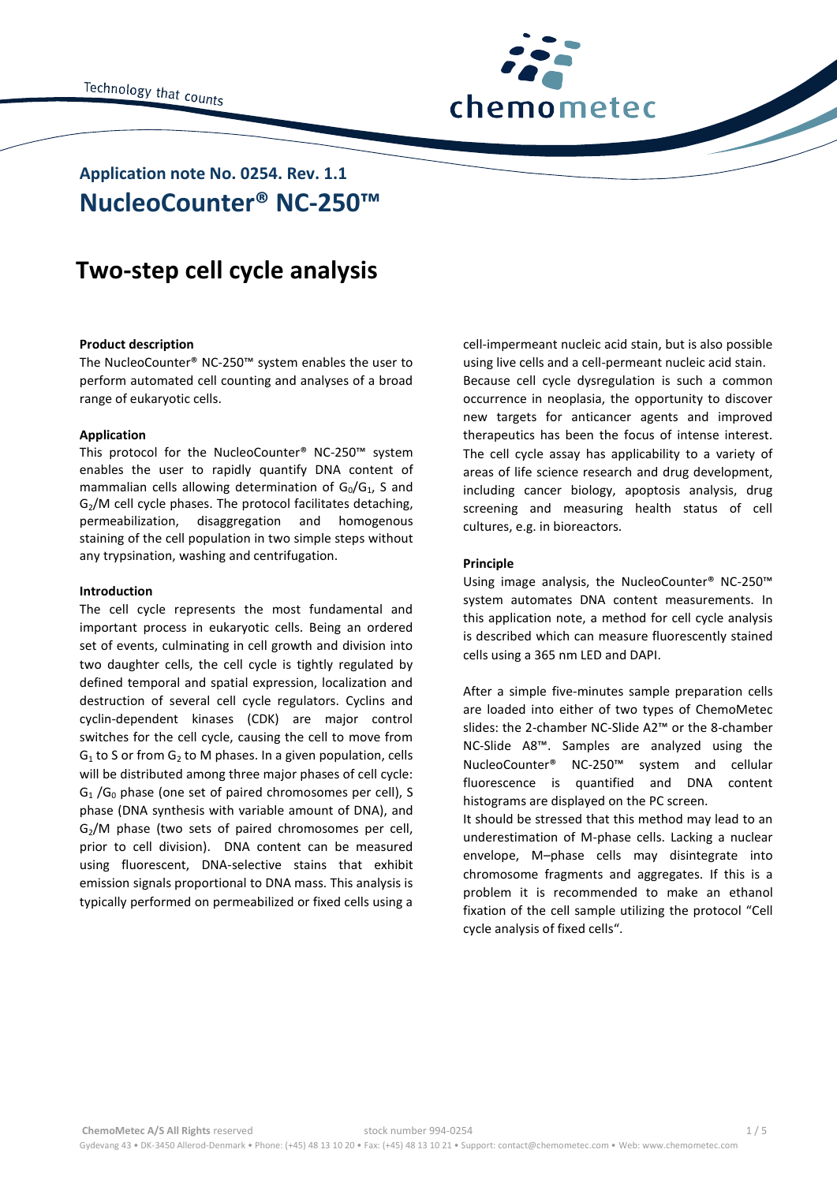

# **NucleoCounter® NC-250™ Application note No. 0254. Rev. 1.1**

# **Two-step cell cycle analysis**

# **Product description**

The NucleoCounter® NC-250™ system enables the user to perform automated cell counting and analyses of a broad range of eukaryotic cells.

## **Application**

This protocol for the NucleoCounter® NC-250™ system enables the user to rapidly quantify DNA content of mammalian cells allowing determination of  $G_0/G_1$ , S and  $G<sub>2</sub>/M$  cell cycle phases. The protocol facilitates detaching, permeabilization, disaggregation and homogenous staining of the cell population in two simple steps without any trypsination, washing and centrifugation.

#### **Introduction**

The cell cycle represents the most fundamental and important process in eukaryotic cells. Being an ordered set of events, culminating in cell growth and division into two daughter cells, the cell cycle is tightly regulated by defined temporal and spatial expression, localization and destruction of several cell cycle regulators. Cyclins and cyclin-dependent kinases (CDK) are major control switches for the cell cycle, causing the cell to move from  $G_1$  to S or from  $G_2$  to M phases. In a given population, cells will be distributed among three major phases of cell cycle:  $G_1/G_0$  phase (one set of paired chromosomes per cell), S phase (DNA synthesis with variable amount of DNA), and  $G<sub>2</sub>/M$  phase (two sets of paired chromosomes per cell, prior to cell division). DNA content can be measured using fluorescent, DNA-selective stains that exhibit emission signals proportional to DNA mass. This analysis is typically performed on permeabilized or fixed cells using a

cell-impermeant nucleic acid stain, but is also possible using live cells and a cell-permeant nucleic acid stain. Because cell cycle dysregulation is such a common occurrence in neoplasia, the opportunity to discover new targets for anticancer agents and improved therapeutics has been the focus of intense interest. The cell cycle assay has applicability to a variety of areas of life science research and drug development, including cancer biology, apoptosis analysis, drug screening and measuring health status of cell cultures, e.g. in bioreactors.

#### **Principle**

Using image analysis, the NucleoCounter® NC-250™ system automates DNA content measurements. In this application note, a method for cell cycle analysis is described which can measure fluorescently stained cells using a 365 nm LED and DAPI.

After a simple five-minutes sample preparation cells are loaded into either of two types of ChemoMetec slides: the 2-chamber NC-Slide A2™ or the 8-chamber NC-Slide A8™. Samples are analyzed using the NucleoCounter® NC-250™ system and cellular fluorescence is quantified and DNA content histograms are displayed on the PC screen.

It should be stressed that this method may lead to an underestimation of M-phase cells. Lacking a nuclear envelope, M–phase cells may disintegrate into chromosome fragments and aggregates. If this is a problem it is recommended to make an ethanol fixation of the cell sample utilizing the protocol "Cell cycle analysis of fixed cells".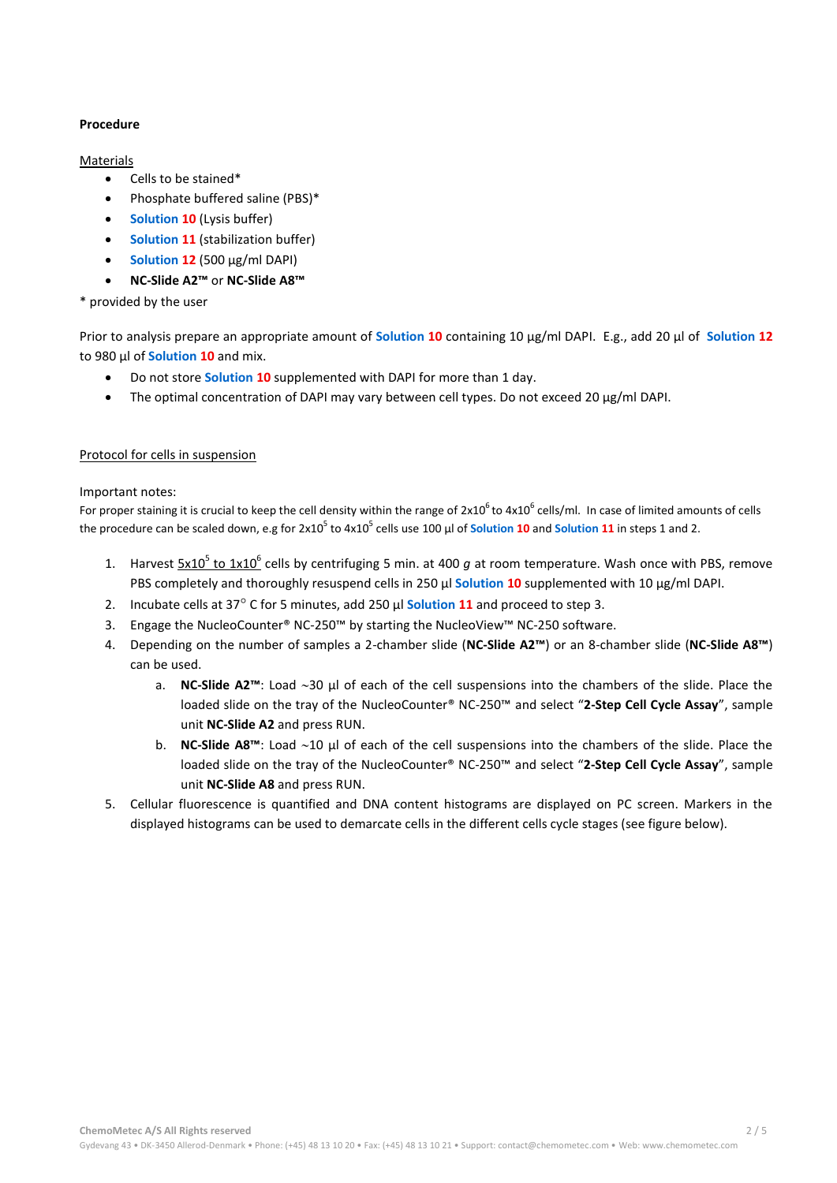# **Procedure**

# Materials

- Cells to be stained\*
- Phosphate buffered saline (PBS)\*
- **Solution 10** (Lysis buffer)
- **Solution 11** (stabilization buffer)
- **Solution 12** (500 µg/ml DAPI)
- **NC-Slide A2™** or **NC-Slide A8™**

# \* provided by the user

Prior to analysis prepare an appropriate amount of **Solution 10** containing 10 µg/ml DAPI. E.g., add 20 μl of **Solution 12**  to 980 μl of **Solution 10** and mix.

- Do not store **Solution 10** supplemented with DAPI for more than 1 day.
- The optimal concentration of DAPI may vary between cell types. Do not exceed 20 µg/ml DAPI.

# Protocol for cells in suspension

# Important notes:

For proper staining it is crucial to keep the cell density within the range of  $2x10^6$  to  $4x10^6$  cells/ml. In case of limited amounts of cells the procedure can be scaled down, e.g for 2x10<sup>5</sup> to 4x10<sup>5</sup> cells use 100 µl of **Solution 10 and Solution 11** in steps 1 and 2.

- 1. Harvest  $5x10^5$  to  $1x10^6$  cells by centrifuging 5 min. at 400 g at room temperature. Wash once with PBS, remove PBS completely and thoroughly resuspend cells in 250 µl **Solution 10** supplemented with 10 µg/ml DAPI.
- 2. Incubate cells at 37° C for 5 minutes, add 250 µl **Solution 11** and proceed to step 3.
- 3. Engage the NucleoCounter® NC-250™ by starting the NucleoView™ NC-250 software.
- 4. Depending on the number of samples a 2-chamber slide (**NC-Slide A2™**) or an 8-chamber slide (**NC-Slide A8™**) can be used.
	- a. **NC-Slide A2<sup>™</sup>:** Load ~30 µl of each of the cell suspensions into the chambers of the slide. Place the loaded slide on the tray of the NucleoCounter® NC-250™ and select "**2-Step Cell Cycle Assay**", sample unit **NC-Slide A2** and press RUN.
	- b. **NC-Slide A8™**: Load 10 µl of each of the cell suspensions into the chambers of the slide. Place the loaded slide on the tray of the NucleoCounter® NC-250™ and select "**2-Step Cell Cycle Assay**", sample unit **NC-Slide A8** and press RUN.
- 5. Cellular fluorescence is quantified and DNA content histograms are displayed on PC screen. Markers in the displayed histograms can be used to demarcate cells in the different cells cycle stages (see figure below).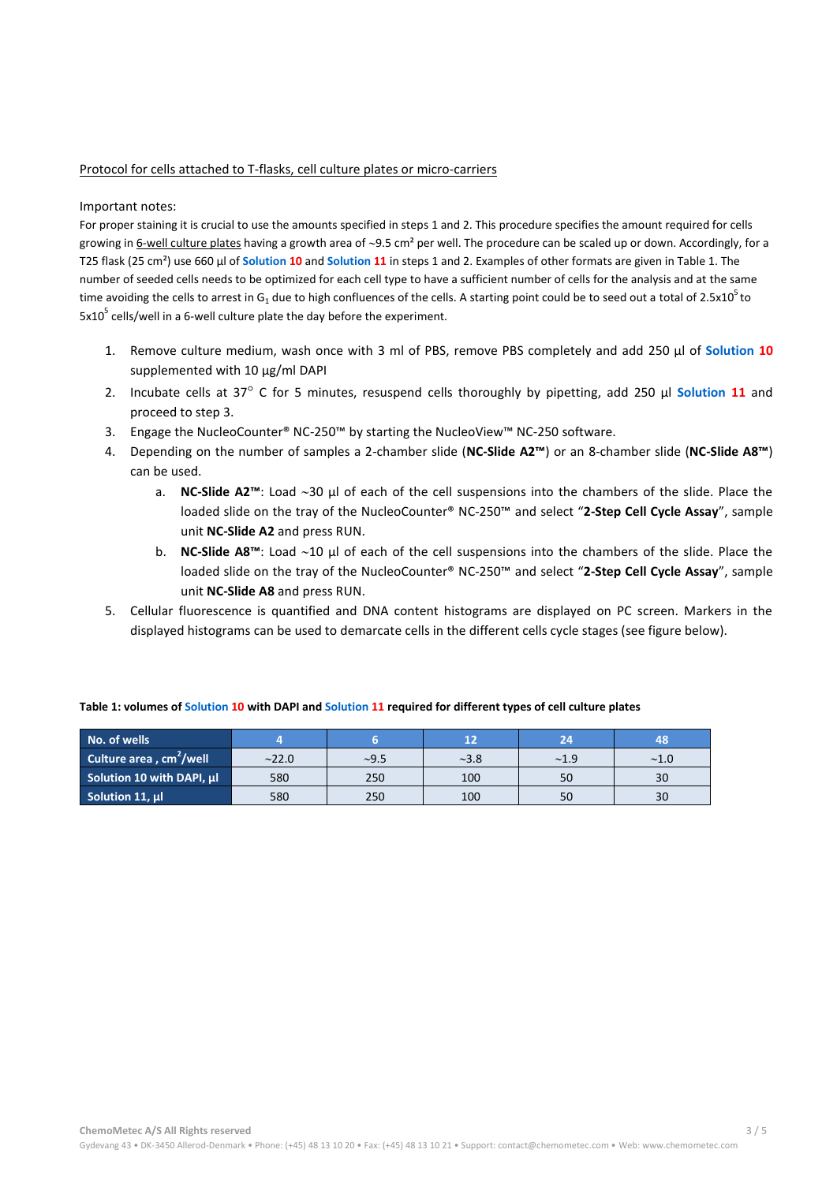# Protocol for cells attached to T-flasks, cell culture plates or micro-carriers

## Important notes:

For proper staining it is crucial to use the amounts specified in steps 1 and 2. This procedure specifies the amount required for cells growing in 6-well culture plates having a growth area of  $\sim$ 9.5 cm<sup>2</sup> per well. The procedure can be scaled up or down. Accordingly, for a T25 flask (25 cm²) use 660 µl of **Solution 10** and **Solution 11** in steps 1 and 2. Examples of other formats are given in Table 1. The number of seeded cells needs to be optimized for each cell type to have a sufficient number of cells for the analysis and at the same time avoiding the cells to arrest in G<sub>1</sub> due to high confluences of the cells. A starting point could be to seed out a total of 2.5x10<sup>5</sup> to  $5x10<sup>5</sup>$  cells/well in a 6-well culture plate the day before the experiment.

- 1. Remove culture medium, wash once with 3 ml of PBS, remove PBS completely and add 250 µl of **Solution 10**  supplemented with 10 µg/ml DAPI
- 2. Incubate cells at 37° C for 5 minutes, resuspend cells thoroughly by pipetting, add 250 µl **Solution 11** and proceed to step 3.
- 3. Engage the NucleoCounter® NC-250™ by starting the NucleoView™ NC-250 software.
- 4. Depending on the number of samples a 2-chamber slide (**NC-Slide A2™**) or an 8-chamber slide (**NC-Slide A8™**) can be used.
	- a. **NC-Slide A2<sup>™</sup>:** Load ~30 µl of each of the cell suspensions into the chambers of the slide. Place the loaded slide on the tray of the NucleoCounter® NC-250™ and select "**2-Step Cell Cycle Assay**", sample unit **NC-Slide A2** and press RUN.
	- b. **NC-Slide A8<sup>TM</sup>:** Load ∼10 µl of each of the cell suspensions into the chambers of the slide. Place the loaded slide on the tray of the NucleoCounter® NC-250™ and select "**2-Step Cell Cycle Assay**", sample unit **NC-Slide A8** and press RUN.
- 5. Cellular fluorescence is quantified and DNA content histograms are displayed on PC screen. Markers in the displayed histograms can be used to demarcate cells in the different cells cycle stages (see figure below).

| No. of wells                        |       |       | 12    | 24   |      |
|-------------------------------------|-------|-------|-------|------|------|
| Culture area, cm <sup>2</sup> /well | ~22.0 | ~29.5 | ~23.8 | ~1.9 | ~1.0 |
| Solution 10 with DAPI, µl           | 580   | 250   | 100   | 50   | 30   |
| Solution 11, $\mu$                  | 580   | 250   | 100   | 50   | 30   |

| Table 1: volumes of Solution 10 with DAPI and Solution 11 required for different types of cell culture plates |  |  |  |
|---------------------------------------------------------------------------------------------------------------|--|--|--|
|---------------------------------------------------------------------------------------------------------------|--|--|--|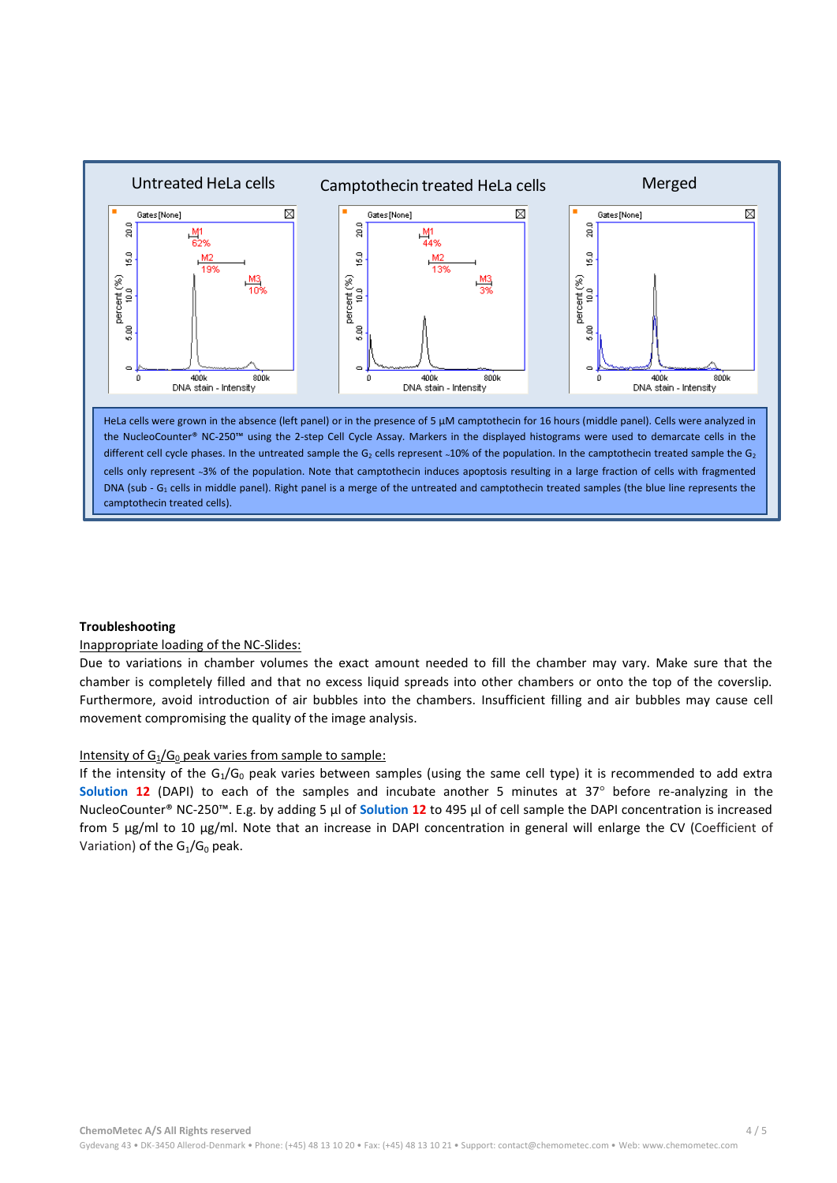

## **Troubleshooting**

## Inappropriate loading of the NC-Slides:

Due to variations in chamber volumes the exact amount needed to fill the chamber may vary. Make sure that the chamber is completely filled and that no excess liquid spreads into other chambers or onto the top of the coverslip. Furthermore, avoid introduction of air bubbles into the chambers. Insufficient filling and air bubbles may cause cell movement compromising the quality of the image analysis.

## Intensity of  $G_1/G_0$  peak varies from sample to sample:

If the intensity of the  $G_1/G_0$  peak varies between samples (using the same cell type) it is recommended to add extra **Solution 12** (DAPI) to each of the samples and incubate another 5 minutes at 37° before re-analyzing in the NucleoCounter® NC-250™. E.g. by adding 5 µl of **Solution 12** to 495 µl of cell sample the DAPI concentration is increased from 5  $\mu$ g/ml to 10  $\mu$ g/ml. Note that an increase in DAPI concentration in general will enlarge the CV (Coefficient of Variation) of the  $G_1/G_0$  peak.